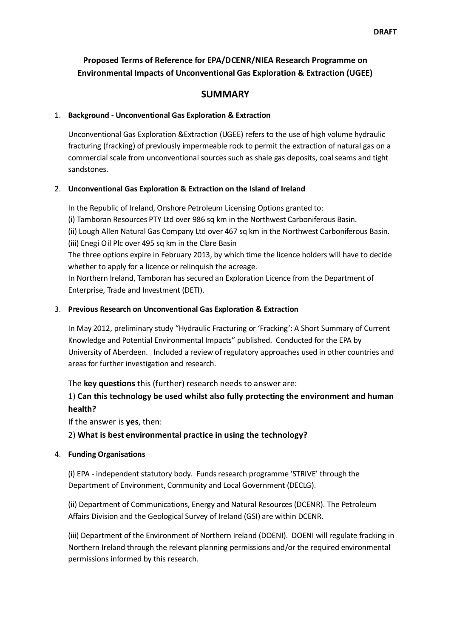# **Proposed Terms of Reference for EPA/DCENR/NIEA Research Programme on Environmental Impacts of Unconventional Gas Exploration & Extraction (UGEE)**

# **SUMMARY**

### 1. **Background - Unconventional Gas Exploration & Extraction**

Unconventional Gas Exploration &Extraction (UGEE) refers to the use of high volume hydraulic fracturing (fracking) of previously impermeable rock to permit the extraction of natural gas on a commercial scale from unconventional sources such as shale gas deposits, coal seams and tight sandstones.

### 2. **Unconventional Gas Exploration & Extraction on the Island of Ireland**

In the Republic of Ireland, Onshore Petroleum Licensing Options granted to:

(i) Tamboran Resources PTY Ltd over 986 sq km in the Northwest Carboniferous Basin.

(ii) Lough Allen Natural Gas Company Ltd over 467 sq km in the Northwest Carboniferous Basin. (iii) Enegi Oil Plc over 495 sq km in the Clare Basin

The three options expire in February 2013, by which time the licence holders will have to decide whether to apply for a licence or relinquish the acreage.

In Northern Ireland, Tamboran has secured an Exploration Licence from the Department of Enterprise, Trade and Investment (DETI).

### 3. **Previous Research on Unconventional Gas Exploration & Extraction**

In May 2012, preliminary study "Hydraulic Fracturing or 'Fracking': A Short Summary of Current Knowledge and Potential Environmental Impacts" published. Conducted for the EPA by University of Aberdeen. Included a review of regulatory approaches used in other countries and areas for further investigation and research.

The **key questions** this (further) research needs to answer are:

# 1) **Can this technology be used whilst also fully protecting the environment and human health?**

If the answer is **yes**, then:

# 2) **What is best environmental practice in using the technology?**

# 4. **Funding Organisations**

(i) EPA - independent statutory body. Funds research programme 'STRIVE' through the Department of Environment, Community and Local Government (DECLG).

(ii) Department of Communications, Energy and Natural Resources (DCENR). The Petroleum Affairs Division and the Geological Survey of Ireland (GSI) are within DCENR.

(iii) Department of the Environment of Northern Ireland (DOENI). DOENI will regulate fracking in Northern Ireland through the relevant planning permissions and/or the required environmental permissions informed by this research.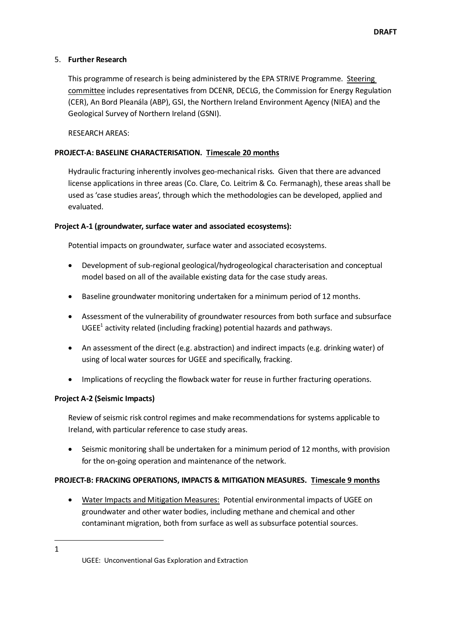### 5. **Further Research**

This programme of research is being administered by the EPA STRIVE Programme. Steering committee includes representatives from DCENR, DECLG, the Commission for Energy Regulation (CER), An Bord Pleanála (ABP), GSI, the Northern Ireland Environment Agency (NIEA) and the Geological Survey of Northern Ireland (GSNI).

RESEARCH AREAS:

### **PROJECT-A: BASELINE CHARACTERISATION. Timescale 20 months**

Hydraulic fracturing inherently involves geo-mechanical risks. Given that there are advanced license applications in three areas (Co. Clare, Co. Leitrim & Co. Fermanagh), these areas shall be used as 'case studies areas', through which the methodologies can be developed, applied and evaluated.

### **Project A-1 (groundwater, surface water and associated ecosystems):**

Potential impacts on groundwater, surface water and associated ecosystems.

- Development of sub-regional geological/hydrogeological characterisation and conceptual model based on all of the available existing data for the case study areas.
- Baseline groundwater monitoring undertaken for a minimum period of 12 months.
- Assessment of the vulnerability of groundwater resources from both surface and subsurface  $\mathsf{UGEE}^1$  activity related (including fracking) potential hazards and pathways.
- An assessment of the direct (e.g. abstraction) and indirect impacts (e.g. drinking water) of using of local water sources for UGEE and specifically, fracking.
- Implications of recycling the flowback water for reuse in further fracturing operations.

#### **Project A-2 (Seismic Impacts)**

Review of seismic risk control regimes and make recommendations for systems applicable to Ireland, with particular reference to case study areas.

• Seismic monitoring shall be undertaken for a minimum period of 12 months, with provision for the on-going operation and maintenance of the network.

#### **PROJECT-B: FRACKING OPERATIONS, IMPACTS & MITIGATION MEASURES. Timescale 9 months**

 Water Impacts and Mitigation Measures: Potential environmental impacts of UGEE on groundwater and other water bodies, including methane and chemical and other contaminant migration, both from surface as well as subsurface potential sources.

1 1

UGEE: Unconventional Gas Exploration and Extraction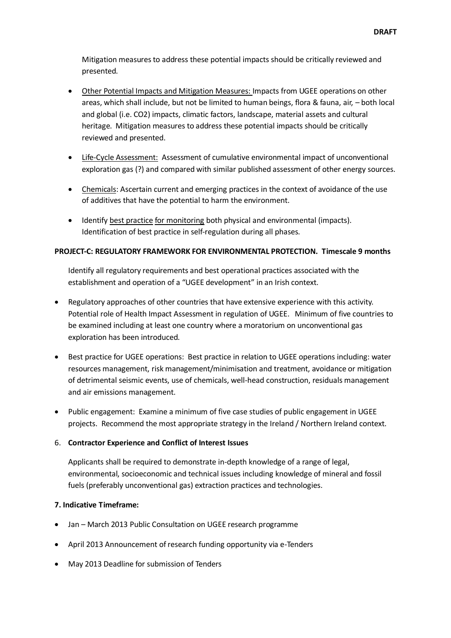Mitigation measures to address these potential impacts should be critically reviewed and presented.

- Other Potential Impacts and Mitigation Measures: Impacts from UGEE operations on other areas, which shall include, but not be limited to human beings, flora & fauna, air, – both local and global (i.e. CO2) impacts, climatic factors, landscape, material assets and cultural heritage. Mitigation measures to address these potential impacts should be critically reviewed and presented.
- Life-Cycle Assessment: Assessment of cumulative environmental impact of unconventional exploration gas (?) and compared with similar published assessment of other energy sources.
- Chemicals: Ascertain current and emerging practices in the context of avoidance of the use of additives that have the potential to harm the environment.
- Identify best practice for monitoring both physical and environmental (impacts). Identification of best practice in self-regulation during all phases.

# **PROJECT-C: REGULATORY FRAMEWORK FOR ENVIRONMENTAL PROTECTION. Timescale 9 months**

Identify all regulatory requirements and best operational practices associated with the establishment and operation of a "UGEE development" in an Irish context.

- Regulatory approaches of other countries that have extensive experience with this activity. Potential role of Health Impact Assessment in regulation of UGEE. Minimum of five countries to be examined including at least one country where a moratorium on unconventional gas exploration has been introduced.
- Best practice for UGEE operations: Best practice in relation to UGEE operations including: water resources management, risk management/minimisation and treatment, avoidance or mitigation of detrimental seismic events, use of chemicals, well-head construction, residuals management and air emissions management.
- Public engagement: Examine a minimum of five case studies of public engagement in UGEE projects. Recommend the most appropriate strategy in the Ireland / Northern Ireland context.

# 6. **Contractor Experience and Conflict of Interest Issues**

Applicants shall be required to demonstrate in-depth knowledge of a range of legal, environmental, socioeconomic and technical issues including knowledge of mineral and fossil fuels (preferably unconventional gas) extraction practices and technologies.

# **7. Indicative Timeframe:**

- Jan March 2013 Public Consultation on UGEE research programme
- April 2013 Announcement of research funding opportunity via e-Tenders
- May 2013 Deadline for submission of Tenders